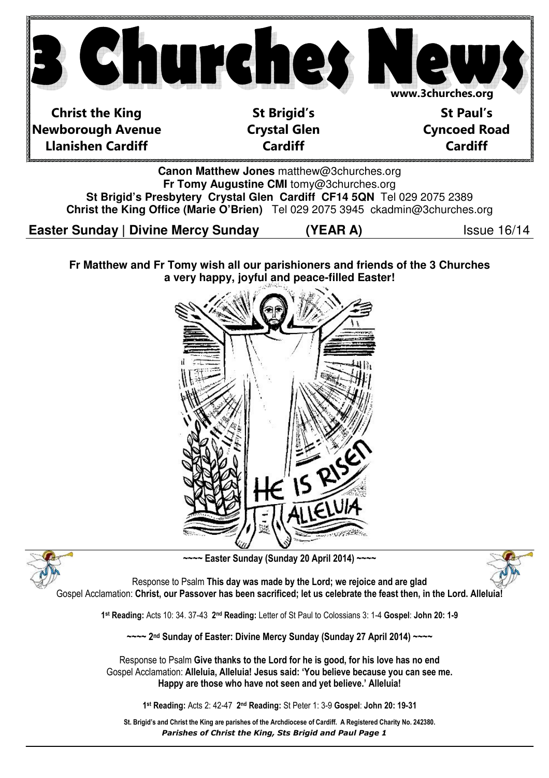

**Easter Sunday | Divine Mercy Sunday (9the A)** Issue 16/14

**Fr Matthew and Fr Tomy wish all our parishioners and friends of the 3 Churches a very happy, joyful and peace-filled Easter!** 





~~~~ Easter Sunday (Sunday 20 April 2014) ~~~~



Response to Psalm This day was made by the Lord; we rejoice and are glad Gospel Acclamation: Christ, our Passover has been sacrificed; let us celebrate the feast then, in the Lord. Alleluia

1 st Reading: Acts 10: 34. 37-43 2nd Reading: Letter of St Paul to Colossians 3: 1-4 Gospel: John 20: 1-9

~~~~ 2nd Sunday of Easter: Divine Mercy Sunday (Sunday 27 April 2014) ~~~~

Response to Psalm Give thanks to the Lord for he is good, for his love has no end Gospel Acclamation: Alleluia, Alleluia! Jesus said: 'You believe because you can see me. Happy are those who have not seen and yet believe.' Alleluia!

1 st Reading: Acts 2: 42-47 2nd Reading: St Peter 1: 3-9 Gospel: John 20: 19-31

Parishes of Christ the King, Sts Brigid and Paul Page 1 St. Brigid's and Christ the King are parishes of the Archdiocese of Cardiff. A Registered Charity No. 242380.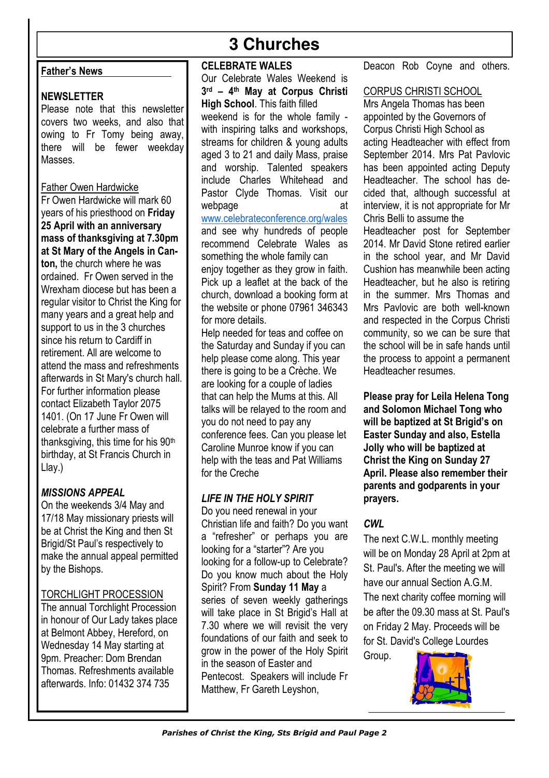### Father's News

### NEWSLETTER

Please note that this newsletter covers two weeks, and also that owing to Fr Tomy being away, there will be fewer weekday Masses.

### Father Owen Hardwicke

Fr Owen Hardwicke will mark 60 years of his priesthood on Friday 25 April with an anniversary mass of thanksgiving at 7.30pm at St Mary of the Angels in Canton, the church where he was ordained. Fr Owen served in the Wrexham diocese but has been a regular visitor to Christ the King for many years and a great help and support to us in the 3 churches since his return to Cardiff in retirement. All are welcome to attend the mass and refreshments afterwards in St Mary's church hall. For further information please contact Elizabeth Taylor 2075 1401. (On 17 June Fr Owen will celebrate a further mass of thanksgiving, this time for his 90<sup>th</sup> birthday, at St Francis Church in Llay.)

# MISSIONS APPEAL

On the weekends 3/4 May and 17/18 May missionary priests will be at Christ the King and then St Brigid/St Paul's respectively to make the annual appeal permitted by the Bishops.

# TORCHLIGHT PROCESSION

The annual Torchlight Procession in honour of Our Lady takes place at Belmont Abbey, Hereford, on Wednesday 14 May starting at 9pm. Preacher: Dom Brendan Thomas. Refreshments available afterwards. Info: 01432 374 735

# **3 Churches**

### CELEBRATE WALES

Our Celebrate Wales Weekend is 3 rd – 4th May at Corpus Christi High School. This faith filled weekend is for the whole family with inspiring talks and workshops, streams for children & young adults aged 3 to 21 and daily Mass, praise and worship. Talented speakers include Charles Whitehead and Pastor Clyde Thomas. Visit our webpage at at a state at a state at a state and state at a state and state at a state at a state at a state at  $\alpha$ www.celebrateconference.org/wales and see why hundreds of people recommend Celebrate Wales as something the whole family can enjoy together as they grow in faith. Pick up a leaflet at the back of the

church, download a booking form at the website or phone 07961 346343 for more details. Help needed for teas and coffee on

the Saturday and Sunday if you can help please come along. This year there is going to be a Crèche. We are looking for a couple of ladies that can help the Mums at this. All talks will be relayed to the room and you do not need to pay any conference fees. Can you please let Caroline Munroe know if you can help with the teas and Pat Williams for the Creche

# LIFE IN THE HOLY SPIRIT

Do you need renewal in your Christian life and faith? Do you want a "refresher" or perhaps you are looking for a "starter"? Are you looking for a follow-up to Celebrate? Do you know much about the Holy Spirit? From Sunday 11 May a series of seven weekly gatherings will take place in St Brigid's Hall at 7.30 where we will revisit the very foundations of our faith and seek to grow in the power of the Holy Spirit in the season of Easter and Pentecost. Speakers will include Fr Matthew, Fr Gareth Leyshon,

Deacon Rob Coyne and others.

### CORPUS CHRISTI SCHOOL

Mrs Angela Thomas has been appointed by the Governors of Corpus Christi High School as acting Headteacher with effect from September 2014. Mrs Pat Pavlovic has been appointed acting Deputy Headteacher. The school has decided that, although successful at interview, it is not appropriate for Mr Chris Belli to assume the

Headteacher post for September 2014. Mr David Stone retired earlier in the school year, and Mr David Cushion has meanwhile been acting Headteacher, but he also is retiring in the summer. Mrs Thomas and Mrs Pavlovic are both well-known and respected in the Corpus Christi community, so we can be sure that the school will be in safe hands until the process to appoint a permanent Headteacher resumes.

Please pray for Leila Helena Tong and Solomon Michael Tong who will be baptized at St Brigid's on Easter Sunday and also, Estella Jolly who will be baptized at Christ the King on Sunday 27 April. Please also remember their parents and godparents in your prayers.

# CWL

The next C.W.L. monthly meeting will be on Monday 28 April at 2pm at St. Paul's. After the meeting we will have our annual Section A.G.M. The next charity coffee morning will be after the 09.30 mass at St. Paul's on Friday 2 May. Proceeds will be for St. David's College Lourdes Group.

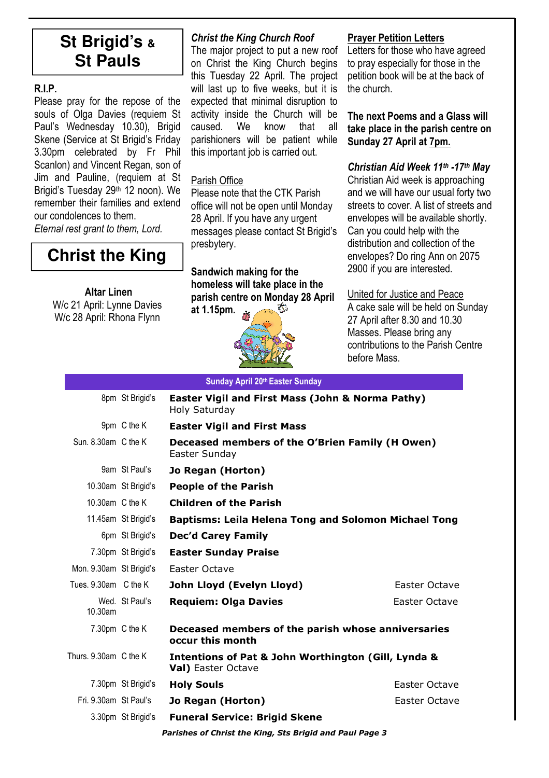# **St Brigid's & St Pauls**

# R.I.P.

Please pray for the repose of the souls of Olga Davies (requiem St Paul's Wednesday 10.30). Brigid Skene (Service at St Brigid's Friday 3.30pm celebrated by Fr Phil Scanlon) and Vincent Regan, son of Jim and Pauline, (requiem at St Brigid's Tuesday 29<sup>th</sup> 12 noon). We remember their families and extend our condolences to them. Eternal rest grant to them, Lord.

**Christ the King** 

### Altar Linen

W/c 21 April: Lynne Davies W/c 28 April: Rhona Flynn

# Christ the King Church Roof

The major project to put a new roof on Christ the King Church begins this Tuesday 22 April. The project will last up to five weeks, but it is expected that minimal disruption to activity inside the Church will be caused. We know that all parishioners will be patient while this important job is carried out.

### Parish Office

Please note that the CTK Parish office will not be open until Monday 28 April. If you have any urgent messages please contact St Brigid's presbytery.

# Sandwich making for the homeless will take place in the parish centre on Monday 28 April

at 1.15pm.



### Prayer Petition Letters

Letters for those who have agreed to pray especially for those in the petition book will be at the back of the church.

The next Poems and a Glass will take place in the parish centre on Sunday 27 April at 7pm.

### Christian Aid Week 11th -17th Mav

Christian Aid week is approaching and we will have our usual forty two streets to cover. A list of streets and envelopes will be available shortly. Can you could help with the distribution and collection of the envelopes? Do ring Ann on 2075 2900 if you are interested.

# United for Justice and Peace

A cake sale will be held on Sunday 27 April after 8.30 and 10.30 Masses. Please bring any contributions to the Parish Centre before Mass.

| Sunday April 20th Easter Sunday |                     |                                                                                                 |                      |  |  |  |
|---------------------------------|---------------------|-------------------------------------------------------------------------------------------------|----------------------|--|--|--|
|                                 | 8pm St Brigid's     | Easter Vigil and First Mass (John & Norma Pathy)<br>Holy Saturday                               |                      |  |  |  |
|                                 | 9pm C the K         | <b>Easter Vigil and First Mass</b>                                                              |                      |  |  |  |
| Sun, 8.30am C the K             |                     | Deceased members of the O'Brien Family (H Owen)<br>Easter Sunday                                |                      |  |  |  |
|                                 | 9am St Paul's       | Jo Regan (Horton)                                                                               |                      |  |  |  |
|                                 | 10.30am St Brigid's | <b>People of the Parish</b>                                                                     |                      |  |  |  |
| 10.30am C the K                 |                     | <b>Children of the Parish</b>                                                                   |                      |  |  |  |
|                                 | 11.45am St Brigid's | <b>Baptisms: Leila Helena Tong and Solomon Michael Tong</b>                                     |                      |  |  |  |
|                                 | 6pm St Brigid's     | <b>Dec'd Carey Family</b>                                                                       |                      |  |  |  |
|                                 | 7.30pm St Brigid's  | <b>Easter Sunday Praise</b>                                                                     |                      |  |  |  |
| Mon. 9.30am St Brigid's         |                     | Easter Octave                                                                                   |                      |  |  |  |
| Tues, 9.30am C the K            |                     | John Lloyd (Evelyn Lloyd)                                                                       | Easter Octave        |  |  |  |
| 10.30am                         | Wed. St Paul's      | <b>Requiem: Olga Davies</b>                                                                     | <b>Easter Octave</b> |  |  |  |
| 7.30pm C the K                  |                     | Deceased members of the parish whose anniversaries<br>occur this month                          |                      |  |  |  |
| Thurs, 9.30am C the K           |                     | <b>Intentions of Pat &amp; John Worthington (Gill, Lynda &amp;</b><br><b>Val)</b> Easter Octave |                      |  |  |  |
|                                 | 7.30pm St Brigid's  | <b>Holy Souls</b>                                                                               | Easter Octave        |  |  |  |
| Fri. 9.30am St Paul's           |                     | Jo Regan (Horton)                                                                               | Easter Octave        |  |  |  |
|                                 | 3.30pm St Brigid's  | <b>Funeral Service: Brigid Skene</b>                                                            |                      |  |  |  |

Parishes of Christ the King, Sts Brigid and Paul Page 3